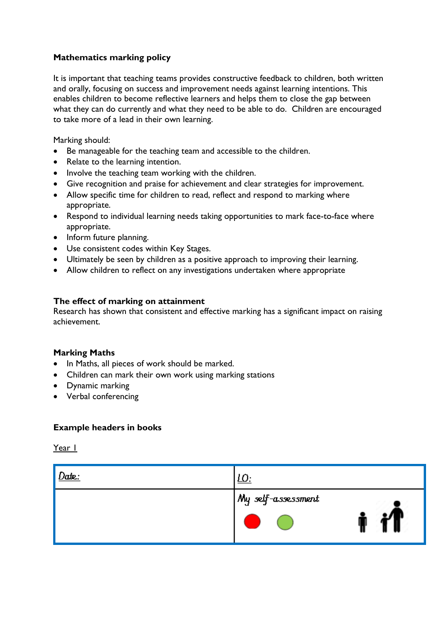### **Mathematics marking policy**

It is important that teaching teams provides constructive feedback to children, both written and orally, focusing on success and improvement needs against learning intentions. This enables children to become reflective learners and helps them to close the gap between what they can do currently and what they need to be able to do. Children are encouraged to take more of a lead in their own learning.

Marking should:

- Be manageable for the teaching team and accessible to the children.
- Relate to the learning intention.
- Involve the teaching team working with the children.
- Give recognition and praise for achievement and clear strategies for improvement.
- Allow specific time for children to read, reflect and respond to marking where appropriate.
- Respond to individual learning needs taking opportunities to mark face-to-face where appropriate.
- Inform future planning.
- Use consistent codes within Key Stages.
- Ultimately be seen by children as a positive approach to improving their learning.
- Allow children to reflect on any investigations undertaken where appropriate

#### **The effect of marking on attainment**

Research has shown that consistent and effective marking has a significant impact on raising achievement.

#### **Marking Maths**

- In Maths, all pieces of work should be marked.
- Children can mark their own work using marking stations
- Dynamic marking
- Verbal conferencing

#### **Example headers in books**

Year I